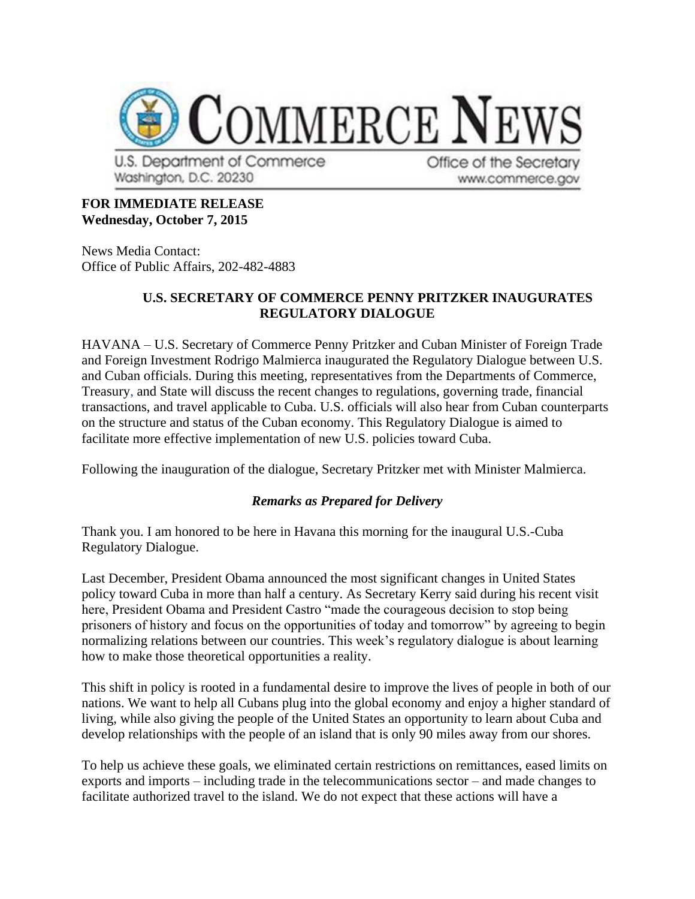

U.S. Department of Commerce Washington, D.C. 20230

Office of the Secretary www.commerce.gov

## **FOR IMMEDIATE RELEASE Wednesday, October 7, 2015**

News Media Contact: Office of Public Affairs, 202-482-4883

## **U.S. SECRETARY OF COMMERCE PENNY PRITZKER INAUGURATES REGULATORY DIALOGUE**

HAVANA – U.S. Secretary of Commerce Penny Pritzker and Cuban Minister of Foreign Trade and Foreign Investment Rodrigo Malmierca inaugurated the Regulatory Dialogue between U.S. and Cuban officials. During this meeting, representatives from the Departments of Commerce, Treasury, and State will discuss the recent changes to regulations, governing trade, financial transactions, and travel applicable to Cuba. U.S. officials will also hear from Cuban counterparts on the structure and status of the Cuban economy. This Regulatory Dialogue is aimed to facilitate more effective implementation of new U.S. policies toward Cuba.

Following the inauguration of the dialogue, Secretary Pritzker met with Minister Malmierca.

## *Remarks as Prepared for Delivery*

Thank you. I am honored to be here in Havana this morning for the inaugural U.S.-Cuba Regulatory Dialogue.

Last December, President Obama announced the most significant changes in United States policy toward Cuba in more than half a century. As Secretary Kerry said during his recent visit here, President Obama and President Castro "made the courageous decision to stop being prisoners of history and focus on the opportunities of today and tomorrow" by agreeing to begin normalizing relations between our countries. This week's regulatory dialogue is about learning how to make those theoretical opportunities a reality.

This shift in policy is rooted in a fundamental desire to improve the lives of people in both of our nations. We want to help all Cubans plug into the global economy and enjoy a higher standard of living, while also giving the people of the United States an opportunity to learn about Cuba and develop relationships with the people of an island that is only 90 miles away from our shores.

To help us achieve these goals, we eliminated certain restrictions on remittances, eased limits on exports and imports – including trade in the telecommunications sector – and made changes to facilitate authorized travel to the island. We do not expect that these actions will have a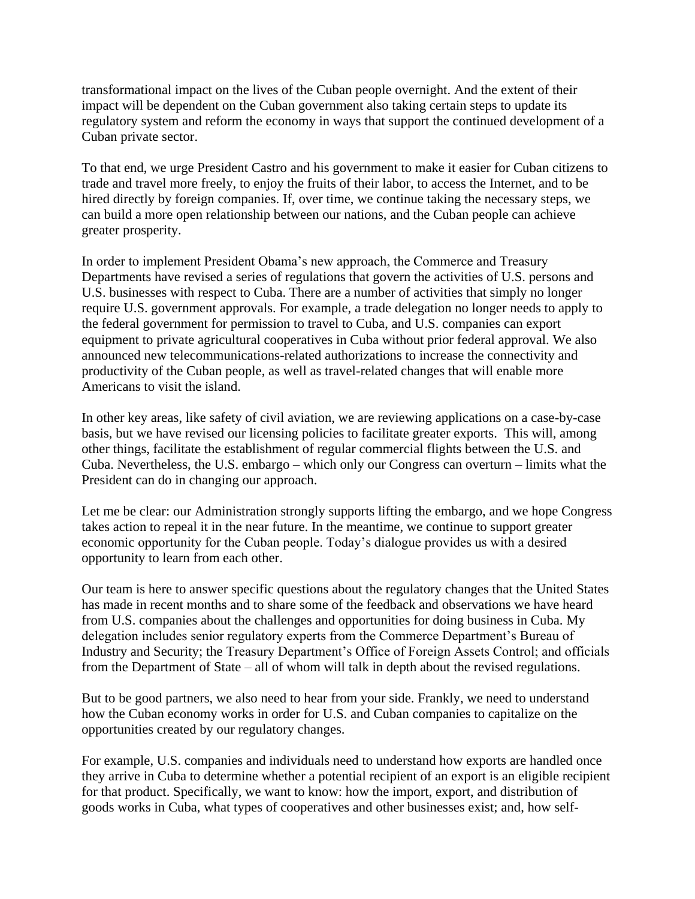transformational impact on the lives of the Cuban people overnight. And the extent of their impact will be dependent on the Cuban government also taking certain steps to update its regulatory system and reform the economy in ways that support the continued development of a Cuban private sector.

To that end, we urge President Castro and his government to make it easier for Cuban citizens to trade and travel more freely, to enjoy the fruits of their labor, to access the Internet, and to be hired directly by foreign companies. If, over time, we continue taking the necessary steps, we can build a more open relationship between our nations, and the Cuban people can achieve greater prosperity.

In order to implement President Obama's new approach, the Commerce and Treasury Departments have revised a series of regulations that govern the activities of U.S. persons and U.S. businesses with respect to Cuba. There are a number of activities that simply no longer require U.S. government approvals. For example, a trade delegation no longer needs to apply to the federal government for permission to travel to Cuba, and U.S. companies can export equipment to private agricultural cooperatives in Cuba without prior federal approval. We also announced new telecommunications-related authorizations to increase the connectivity and productivity of the Cuban people, as well as travel-related changes that will enable more Americans to visit the island.

In other key areas, like safety of civil aviation, we are reviewing applications on a case-by-case basis, but we have revised our licensing policies to facilitate greater exports. This will, among other things, facilitate the establishment of regular commercial flights between the U.S. and Cuba. Nevertheless, the U.S. embargo – which only our Congress can overturn – limits what the President can do in changing our approach.

Let me be clear: our Administration strongly supports lifting the embargo, and we hope Congress takes action to repeal it in the near future. In the meantime, we continue to support greater economic opportunity for the Cuban people. Today's dialogue provides us with a desired opportunity to learn from each other.

Our team is here to answer specific questions about the regulatory changes that the United States has made in recent months and to share some of the feedback and observations we have heard from U.S. companies about the challenges and opportunities for doing business in Cuba. My delegation includes senior regulatory experts from the Commerce Department's Bureau of Industry and Security; the Treasury Department's Office of Foreign Assets Control; and officials from the Department of State – all of whom will talk in depth about the revised regulations.

But to be good partners, we also need to hear from your side. Frankly, we need to understand how the Cuban economy works in order for U.S. and Cuban companies to capitalize on the opportunities created by our regulatory changes.

For example, U.S. companies and individuals need to understand how exports are handled once they arrive in Cuba to determine whether a potential recipient of an export is an eligible recipient for that product. Specifically, we want to know: how the import, export, and distribution of goods works in Cuba, what types of cooperatives and other businesses exist; and, how self